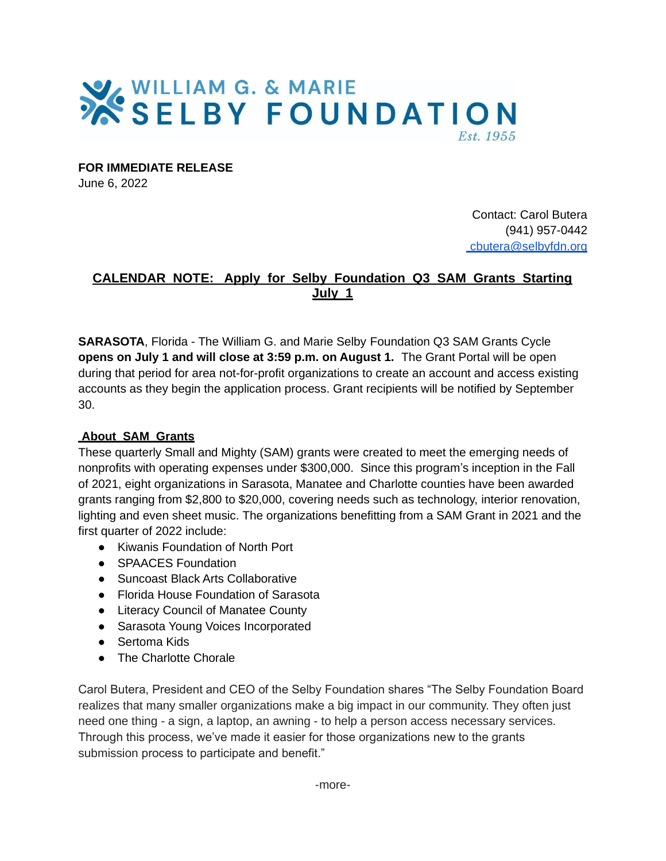

**FOR IMMEDIATE RELEASE**

June 6, 2022

Contact: Carol Butera (941) 957-0442 [cbutera@selbyfdn.org](mailto:cbutera@selbyfdn.org)

## **CALENDAR NOTE: Apply for Selby Foundation Q3 SAM Grants Starting July 1**

**SARASOTA**, Florida - The William G. and Marie Selby Foundation Q3 SAM Grants Cycle **opens on July 1 and will close at 3:59 p.m. on August 1.** The Grant Portal will be open during that period for area not-for-profit organizations to create an account and access existing accounts as they begin the application process. Grant recipients will be notified by September 30.

## **About SAM Grants**

These quarterly Small and Mighty (SAM) grants were created to meet the emerging needs of nonprofits with operating expenses under \$300,000. Since this program's inception in the Fall of 2021, eight organizations in Sarasota, Manatee and Charlotte counties have been awarded grants ranging from \$2,800 to \$20,000, covering needs such as technology, interior renovation, lighting and even sheet music. The organizations benefitting from a SAM Grant in 2021 and the first quarter of 2022 include:

- Kiwanis Foundation of North Port
- SPAACES Foundation
- Suncoast Black Arts Collaborative
- Florida House Foundation of Sarasota
- Literacy Council of Manatee County
- Sarasota Young Voices Incorporated
- Sertoma Kids
- The Charlotte Chorale

Carol Butera, President and CEO of the Selby Foundation shares "The Selby Foundation Board realizes that many smaller organizations make a big impact in our community. They often just need one thing - a sign, a laptop, an awning - to help a person access necessary services. Through this process, we've made it easier for those organizations new to the grants submission process to participate and benefit."